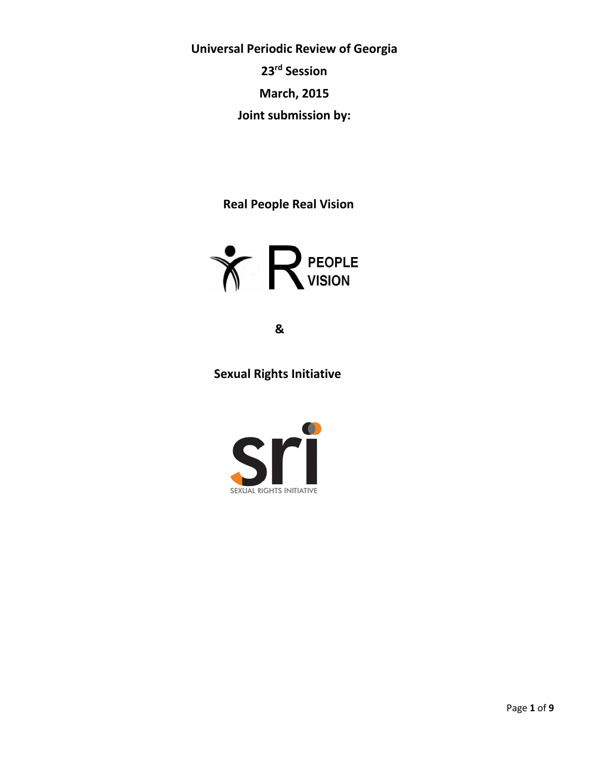**Universal Periodic Review of Georgia 23rd Session March, 2015 Joint submission by:**

 **Real People Real Vision**



 **&**

 **Sexual Rights Initiative**

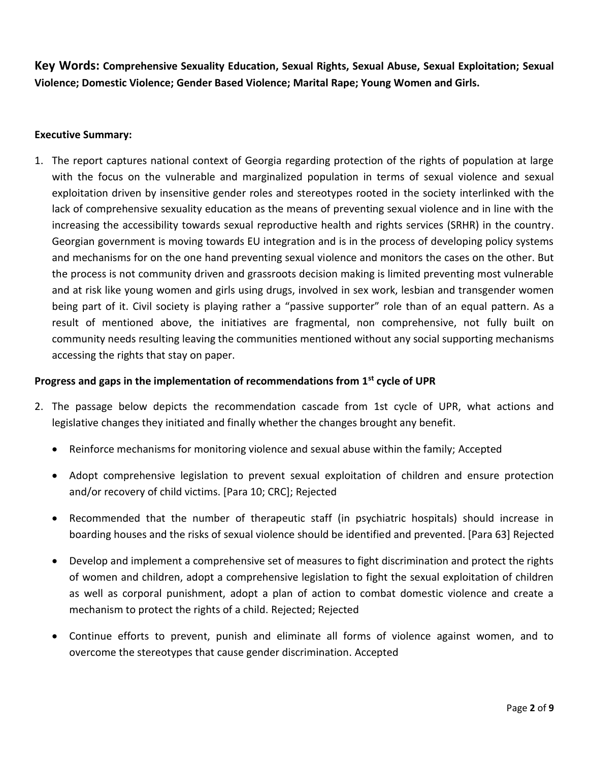**Key Words: Comprehensive Sexuality Education, Sexual Rights, Sexual Abuse, Sexual Exploitation; Sexual Violence; Domestic Violence; Gender Based Violence; Marital Rape; Young Women and Girls.**

# **Executive Summary:**

1. The report captures national context of Georgia regarding protection of the rights of population at large with the focus on the vulnerable and marginalized population in terms of sexual violence and sexual exploitation driven by insensitive gender roles and stereotypes rooted in the society interlinked with the lack of comprehensive sexuality education as the means of preventing sexual violence and in line with the increasing the accessibility towards sexual reproductive health and rights services (SRHR) in the country. Georgian government is moving towards EU integration and is in the process of developing policy systems and mechanisms for on the one hand preventing sexual violence and monitors the cases on the other. But the process is not community driven and grassroots decision making is limited preventing most vulnerable and at risk like young women and girls using drugs, involved in sex work, lesbian and transgender women being part of it. Civil society is playing rather a "passive supporter" role than of an equal pattern. As a result of mentioned above, the initiatives are fragmental, non comprehensive, not fully built on community needs resulting leaving the communities mentioned without any social supporting mechanisms accessing the rights that stay on paper.

# **Progress and gaps in the implementation of recommendations from 1st cycle of UPR**

- 2. The passage below depicts the recommendation cascade from 1st cycle of UPR, what actions and legislative changes they initiated and finally whether the changes brought any benefit.
	- Reinforce mechanisms for monitoring violence and sexual abuse within the family; Accepted
	- Adopt comprehensive legislation to prevent sexual exploitation of children and ensure protection and/or recovery of child victims. [Para 10; CRC]; Rejected
	- Recommended that the number of therapeutic staff (in psychiatric hospitals) should increase in boarding houses and the risks of sexual violence should be identified and prevented. [Para 63] Rejected
	- Develop and implement a comprehensive set of measures to fight discrimination and protect the rights of women and children, adopt a comprehensive legislation to fight the sexual exploitation of children as well as corporal punishment, adopt a plan of action to combat domestic violence and create a mechanism to protect the rights of a child. Rejected; Rejected
	- Continue efforts to prevent, punish and eliminate all forms of violence against women, and to overcome the stereotypes that cause gender discrimination. Accepted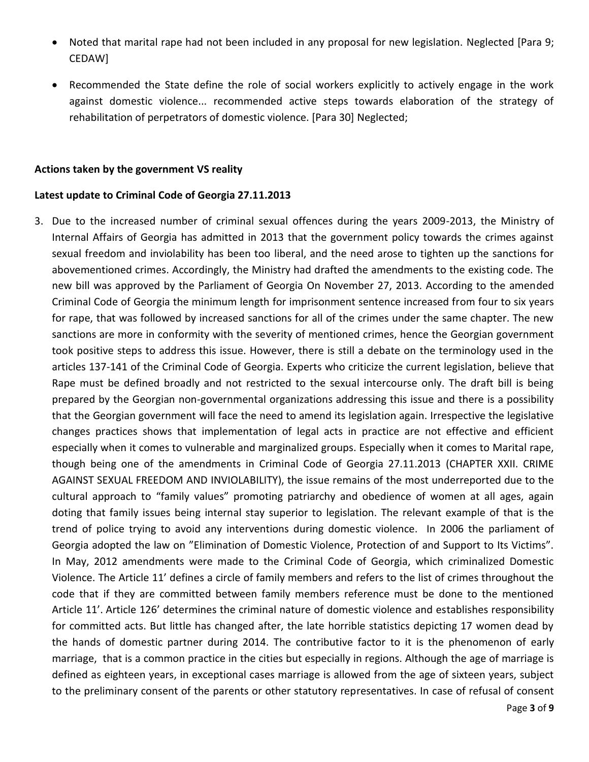- Noted that marital rape had not been included in any proposal for new legislation. Neglected [Para 9; CEDAW]
- Recommended the State define the role of social workers explicitly to actively engage in the work against domestic violence... recommended active steps towards elaboration of the strategy of rehabilitation of perpetrators of domestic violence. [Para 30] Neglected;

#### **Actions taken by the government VS reality**

#### **Latest update to Criminal Code of Georgia 27.11.2013**

3. Due to the increased number of criminal sexual offences during the years 2009-2013, the Ministry of Internal Affairs of Georgia has admitted in 2013 that the government policy towards the crimes against sexual freedom and inviolability has been too liberal, and the need arose to tighten up the sanctions for abovementioned crimes. Accordingly, the Ministry had drafted the amendments to the existing code. The new bill was approved by the Parliament of Georgia On November 27, 2013. According to the amended Criminal Code of Georgia the minimum length for imprisonment sentence increased from four to six years for rape, that was followed by increased sanctions for all of the crimes under the same chapter. The new sanctions are more in conformity with the severity of mentioned crimes, hence the Georgian government took positive steps to address this issue. However, there is still a debate on the terminology used in the articles 137-141 of the Criminal Code of Georgia. Experts who criticize the current legislation, believe that Rape must be defined broadly and not restricted to the sexual intercourse only. The draft bill is being prepared by the Georgian non-governmental organizations addressing this issue and there is a possibility that the Georgian government will face the need to amend its legislation again. Irrespective the legislative changes practices shows that implementation of legal acts in practice are not effective and efficient especially when it comes to vulnerable and marginalized groups. Especially when it comes to Marital rape, though being one of the amendments in Criminal Code of Georgia 27.11.2013 (CHAPTER XXII. CRIME AGAINST SEXUAL FREEDOM AND INVIOLABILITY), the issue remains of the most underreported due to the cultural approach to "family values" promoting patriarchy and obedience of women at all ages, again doting that family issues being internal stay superior to legislation. The relevant example of that is the trend of police trying to avoid any interventions during domestic violence. In 2006 the parliament of Georgia adopted the law on "Elimination of Domestic Violence, Protection of and Support to Its Victims". In May, 2012 amendments were made to the Criminal Code of Georgia, which criminalized Domestic Violence. The Article 11' defines a circle of family members and refers to the list of crimes throughout the code that if they are committed between family members reference must be done to the mentioned Article 11'. Article 126' determines the criminal nature of domestic violence and establishes responsibility for committed acts. But little has changed after, the late horrible statistics depicting 17 women dead by the hands of domestic partner during 2014. The contributive factor to it is the phenomenon of early marriage, that is a common practice in the cities but especially in regions. Although the age of marriage is defined as eighteen years, in exceptional cases marriage is allowed from the age of sixteen years, subject to the preliminary consent of the parents or other statutory representatives. In case of refusal of consent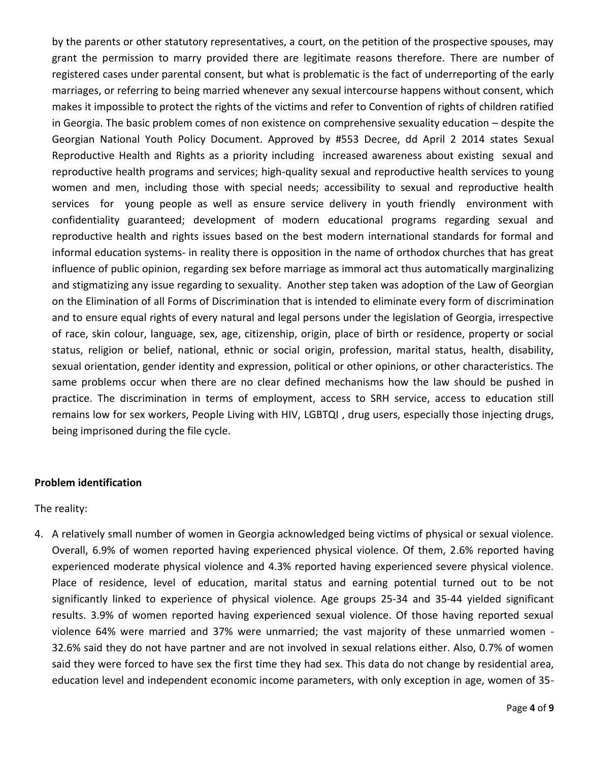by the parents or other statutory representatives, a court, on the petition of the prospective spouses, may grant the permission to marry provided there are legitimate reasons therefore. There are number of registered cases under parental consent, but what is problematic is the fact of underreporting of the early marriages, or referring to being married whenever any sexual intercourse happens without consent, which makes it impossible to protect the rights of the victims and refer to Convention of rights of children ratified in Georgia. The basic problem comes of non existence on comprehensive sexuality education – despite the Georgian National Youth Policy Document. Approved by #553 Decree, dd April 2 2014 states Sexual Reproductive Health and Rights as a priority including increased awareness about existing sexual and reproductive health programs and services; high-quality sexual and reproductive health services to young women and men, including those with special needs; accessibility to sexual and reproductive health services for young people as well as ensure service delivery in youth friendly environment with confidentiality guaranteed; development of modern educational programs regarding sexual and reproductive health and rights issues based on the best modern international standards for formal and informal education systems- in reality there is opposition in the name of orthodox churches that has great influence of public opinion, regarding sex before marriage as immoral act thus automatically marginalizing and stigmatizing any issue regarding to sexuality. Another step taken was adoption of the Law of Georgian on the Elimination of all Forms of Discrimination that is intended to eliminate every form of discrimination and to ensure equal rights of every natural and legal persons under the legislation of Georgia, irrespective of race, skin colour, language, sex, age, citizenship, origin, place of birth or residence, property or social status, religion or belief, national, ethnic or social origin, profession, marital status, health, disability, sexual orientation, gender identity and expression, political or other opinions, or other characteristics. The same problems occur when there are no clear defined mechanisms how the law should be pushed in practice. The discrimination in terms of employment, access to SRH service, access to education still remains low for sex workers, People Living with HIV, LGBTQI , drug users, especially those injecting drugs, being imprisoned during the file cycle.

#### **Problem identification**

The reality:

4. A relatively small number of women in Georgia acknowledged being victims of physical or sexual violence. Overall, 6.9% of women reported having experienced physical violence. Of them, 2.6% reported having experienced moderate physical violence and 4.3% reported having experienced severe physical violence. Place of residence, level of education, marital status and earning potential turned out to be not significantly linked to experience of physical violence. Age groups 25-34 and 35-44 yielded significant results. 3.9% of women reported having experienced sexual violence. Of those having reported sexual violence 64% were married and 37% were unmarried; the vast majority of these unmarried women - 32.6% said they do not have partner and are not involved in sexual relations either. Also, 0.7% of women said they were forced to have sex the first time they had sex. This data do not change by residential area, education level and independent economic income parameters, with only exception in age, women of 35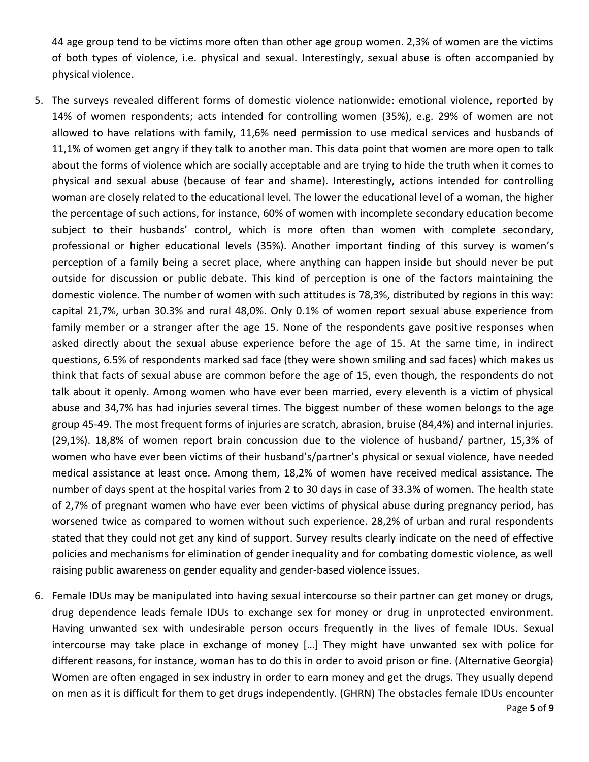44 age group tend to be victims more often than other age group women. 2,3% of women are the victims of both types of violence, i.e. physical and sexual. Interestingly, sexual abuse is often accompanied by physical violence.

- 5. The surveys revealed different forms of domestic violence nationwide: emotional violence, reported by 14% of women respondents; acts intended for controlling women (35%), e.g. 29% of women are not allowed to have relations with family, 11,6% need permission to use medical services and husbands of 11,1% of women get angry if they talk to another man. This data point that women are more open to talk about the forms of violence which are socially acceptable and are trying to hide the truth when it comes to physical and sexual abuse (because of fear and shame). Interestingly, actions intended for controlling woman are closely related to the educational level. The lower the educational level of a woman, the higher the percentage of such actions, for instance, 60% of women with incomplete secondary education become subject to their husbands' control, which is more often than women with complete secondary, professional or higher educational levels (35%). Another important finding of this survey is women's perception of a family being a secret place, where anything can happen inside but should never be put outside for discussion or public debate. This kind of perception is one of the factors maintaining the domestic violence. The number of women with such attitudes is 78,3%, distributed by regions in this way: capital 21,7%, urban 30.3% and rural 48,0%. Only 0.1% of women report sexual abuse experience from family member or a stranger after the age 15. None of the respondents gave positive responses when asked directly about the sexual abuse experience before the age of 15. At the same time, in indirect questions, 6.5% of respondents marked sad face (they were shown smiling and sad faces) which makes us think that facts of sexual abuse are common before the age of 15, even though, the respondents do not talk about it openly. Among women who have ever been married, every eleventh is a victim of physical abuse and 34,7% has had injuries several times. The biggest number of these women belongs to the age group 45-49. The most frequent forms of injuries are scratch, abrasion, bruise (84,4%) and internal injuries. (29,1%). 18,8% of women report brain concussion due to the violence of husband/ partner, 15,3% of women who have ever been victims of their husband's/partner's physical or sexual violence, have needed medical assistance at least once. Among them, 18,2% of women have received medical assistance. The number of days spent at the hospital varies from 2 to 30 days in case of 33.3% of women. The health state of 2,7% of pregnant women who have ever been victims of physical abuse during pregnancy period, has worsened twice as compared to women without such experience. 28,2% of urban and rural respondents stated that they could not get any kind of support. Survey results clearly indicate on the need of effective policies and mechanisms for elimination of gender inequality and for combating domestic violence, as well raising public awareness on gender equality and gender-based violence issues.
- 6. Female IDUs may be manipulated into having sexual intercourse so their partner can get money or drugs, drug dependence leads female IDUs to exchange sex for money or drug in unprotected environment. Having unwanted sex with undesirable person occurs frequently in the lives of female IDUs. Sexual intercourse may take place in exchange of money […] They might have unwanted sex with police for different reasons, for instance, woman has to do this in order to avoid prison or fine. (Alternative Georgia) Women are often engaged in sex industry in order to earn money and get the drugs. They usually depend on men as it is difficult for them to get drugs independently. (GHRN) The obstacles female IDUs encounter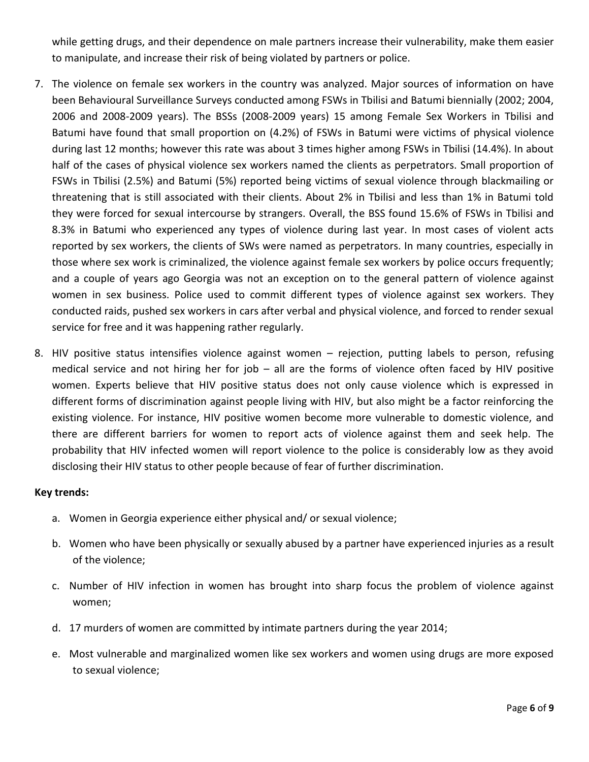while getting drugs, and their dependence on male partners increase their vulnerability, make them easier to manipulate, and increase their risk of being violated by partners or police.

- 7. The violence on female sex workers in the country was analyzed. Major sources of information on have been Behavioural Surveillance Surveys conducted among FSWs in Tbilisi and Batumi biennially (2002; 2004, 2006 and 2008-2009 years). The BSSs (2008-2009 years) 15 among Female Sex Workers in Tbilisi and Batumi have found that small proportion on (4.2%) of FSWs in Batumi were victims of physical violence during last 12 months; however this rate was about 3 times higher among FSWs in Tbilisi (14.4%). In about half of the cases of physical violence sex workers named the clients as perpetrators. Small proportion of FSWs in Tbilisi (2.5%) and Batumi (5%) reported being victims of sexual violence through blackmailing or threatening that is still associated with their clients. About 2% in Tbilisi and less than 1% in Batumi told they were forced for sexual intercourse by strangers. Overall, the BSS found 15.6% of FSWs in Tbilisi and 8.3% in Batumi who experienced any types of violence during last year. In most cases of violent acts reported by sex workers, the clients of SWs were named as perpetrators. In many countries, especially in those where sex work is criminalized, the violence against female sex workers by police occurs frequently; and a couple of years ago Georgia was not an exception on to the general pattern of violence against women in sex business. Police used to commit different types of violence against sex workers. They conducted raids, pushed sex workers in cars after verbal and physical violence, and forced to render sexual service for free and it was happening rather regularly.
- 8. HIV positive status intensifies violence against women rejection, putting labels to person, refusing medical service and not hiring her for job – all are the forms of violence often faced by HIV positive women. Experts believe that HIV positive status does not only cause violence which is expressed in different forms of discrimination against people living with HIV, but also might be a factor reinforcing the existing violence. For instance, HIV positive women become more vulnerable to domestic violence, and there are different barriers for women to report acts of violence against them and seek help. The probability that HIV infected women will report violence to the police is considerably low as they avoid disclosing their HIV status to other people because of fear of further discrimination.

### **Key trends:**

- a. Women in Georgia experience either physical and/ or sexual violence;
- b. Women who have been physically or sexually abused by a partner have experienced injuries as a result of the violence;
- c. Number of HIV infection in women has brought into sharp focus the problem of violence against women;
- d. 17 murders of women are committed by intimate partners during the year 2014;
- e. Most vulnerable and marginalized women like sex workers and women using drugs are more exposed to sexual violence;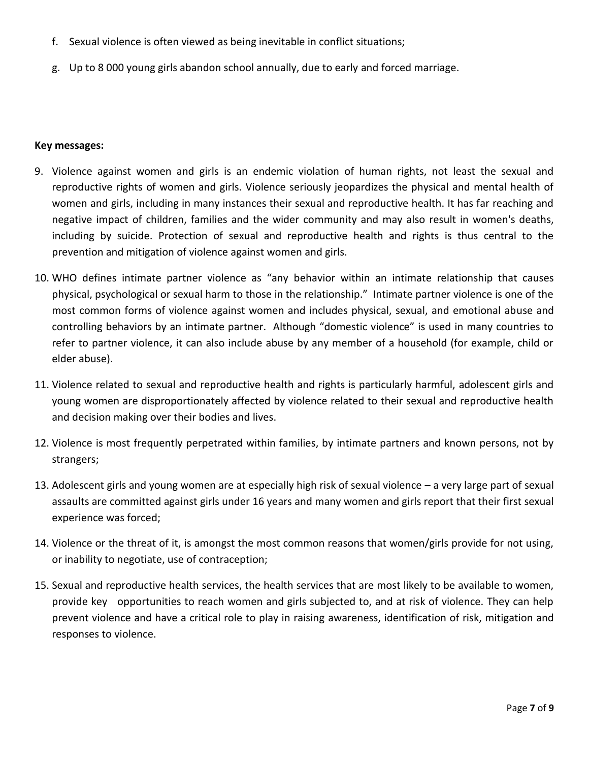- f. Sexual violence is often viewed as being inevitable in conflict situations;
- g. Up to 8 000 young girls abandon school annually, due to early and forced marriage.

### **Key messages:**

- 9. Violence against women and girls is an endemic violation of human rights, not least the sexual and reproductive rights of women and girls. Violence seriously jeopardizes the physical and mental health of women and girls, including in many instances their sexual and reproductive health. It has far reaching and negative impact of children, families and the wider community and may also result in women's deaths, including by suicide. Protection of sexual and reproductive health and rights is thus central to the prevention and mitigation of violence against women and girls.
- 10. WHO defines intimate partner violence as "any behavior within an intimate relationship that causes physical, psychological or sexual harm to those in the relationship." Intimate partner violence is one of the most common forms of violence against women and includes physical, sexual, and emotional abuse and controlling behaviors by an intimate partner. Although "domestic violence" is used in many countries to refer to partner violence, it can also include abuse by any member of a household (for example, child or elder abuse).
- 11. Violence related to sexual and reproductive health and rights is particularly harmful, adolescent girls and young women are disproportionately affected by violence related to their sexual and reproductive health and decision making over their bodies and lives.
- 12. Violence is most frequently perpetrated within families, by intimate partners and known persons, not by strangers;
- 13. Adolescent girls and young women are at especially high risk of sexual violence a very large part of sexual assaults are committed against girls under 16 years and many women and girls report that their first sexual experience was forced;
- 14. Violence or the threat of it, is amongst the most common reasons that women/girls provide for not using, or inability to negotiate, use of contraception;
- 15. Sexual and reproductive health services, the health services that are most likely to be available to women, provide key opportunities to reach women and girls subjected to, and at risk of violence. They can help prevent violence and have a critical role to play in raising awareness, identification of risk, mitigation and responses to violence.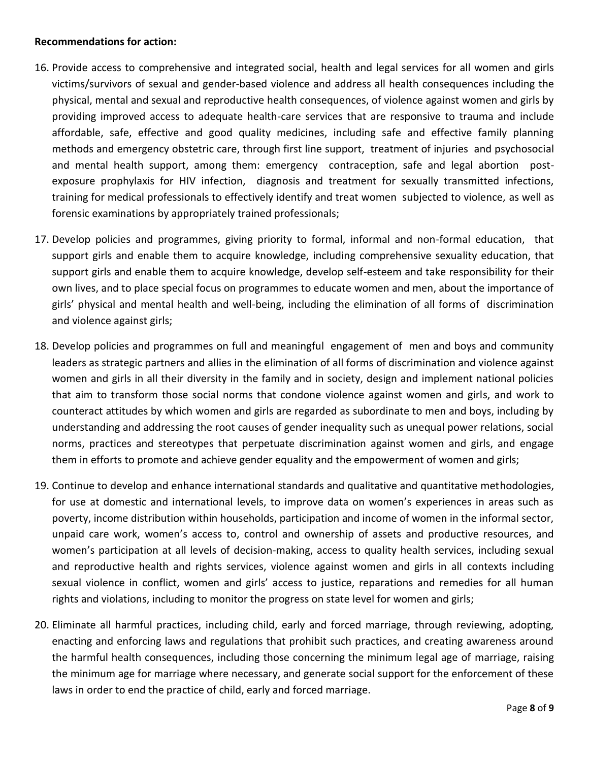### **Recommendations for action:**

- 16. Provide access to comprehensive and integrated social, health and legal services for all women and girls victims/survivors of sexual and gender-based violence and address all health consequences including the physical, mental and sexual and reproductive health consequences, of violence against women and girls by providing improved access to adequate health-care services that are responsive to trauma and include affordable, safe, effective and good quality medicines, including safe and effective family planning methods and emergency obstetric care, through first line support, treatment of injuries and psychosocial and mental health support, among them: emergency contraception, safe and legal abortion postexposure prophylaxis for HIV infection, diagnosis and treatment for sexually transmitted infections, training for medical professionals to effectively identify and treat women subjected to violence, as well as forensic examinations by appropriately trained professionals;
- 17. Develop policies and programmes, giving priority to formal, informal and non-formal education, that support girls and enable them to acquire knowledge, including comprehensive sexuality education, that support girls and enable them to acquire knowledge, develop self-esteem and take responsibility for their own lives, and to place special focus on programmes to educate women and men, about the importance of girls' physical and mental health and well-being, including the elimination of all forms of discrimination and violence against girls;
- 18. Develop policies and programmes on full and meaningful engagement of men and boys and community leaders as strategic partners and allies in the elimination of all forms of discrimination and violence against women and girls in all their diversity in the family and in society, design and implement national policies that aim to transform those social norms that condone violence against women and girls, and work to counteract attitudes by which women and girls are regarded as subordinate to men and boys, including by understanding and addressing the root causes of gender inequality such as unequal power relations, social norms, practices and stereotypes that perpetuate discrimination against women and girls, and engage them in efforts to promote and achieve gender equality and the empowerment of women and girls;
- 19. Continue to develop and enhance international standards and qualitative and quantitative methodologies, for use at domestic and international levels, to improve data on women's experiences in areas such as poverty, income distribution within households, participation and income of women in the informal sector, unpaid care work, women's access to, control and ownership of assets and productive resources, and women's participation at all levels of decision-making, access to quality health services, including sexual and reproductive health and rights services, violence against women and girls in all contexts including sexual violence in conflict, women and girls' access to justice, reparations and remedies for all human rights and violations, including to monitor the progress on state level for women and girls;
- 20. Eliminate all harmful practices, including child, early and forced marriage, through reviewing, adopting, enacting and enforcing laws and regulations that prohibit such practices, and creating awareness around the harmful health consequences, including those concerning the minimum legal age of marriage, raising the minimum age for marriage where necessary, and generate social support for the enforcement of these laws in order to end the practice of child, early and forced marriage.